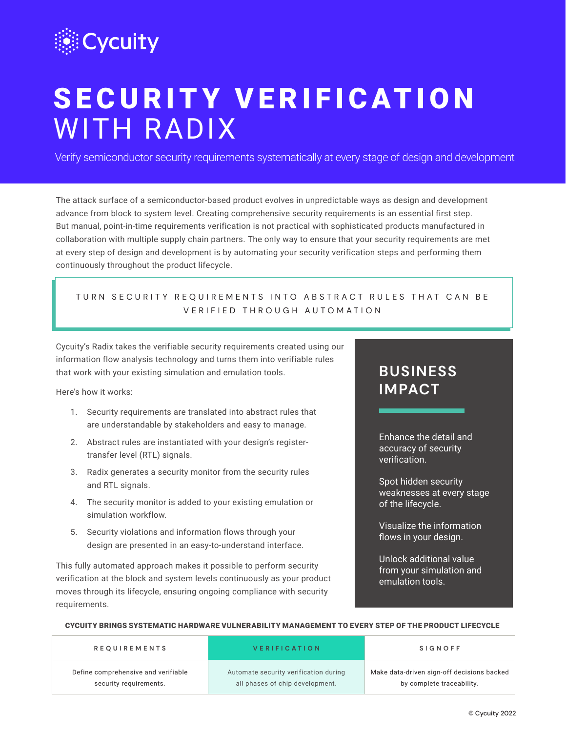

# S E C U R I T Y V E R I F I C A T I O N WITH RADIX

Verify semiconductor security requirements systematically at every stage of design and development

The attack surface of a semiconductor-based product evolves in unpredictable ways as design and development advance from block to system level. Creating comprehensive security requirements is an essential first step. But manual, point-in-time requirements verification is not practical with sophisticated products manufactured in collaboration with multiple supply chain partners. The only way to ensure that your security requirements are met at every step of design and development is by automating your security verification steps and performing them continuously throughout the product lifecycle.

## TURN SECURITY REQUIREMENTS INTO ABSTRACT RULES THAT CAN BE BE VERIFIED THROUGH AUTOMATION VERIFIED THROUGH AUTOMATION

Cycuity's Radix takes the verifiable security requirements created using our information flow analysis technology and turns them into verifiable rules that work with your existing simulation and emulation tools.

Here's how it works:

- 1. Security requirements are translated into abstract rules that are understandable by stakeholders and easy to manage.
- 2. Abstract rules are instantiated with your design's registertransfer level (RTL) signals.
- 3. Radix generates a security monitor from the security rules and RTL signals.
- 4. The security monitor is added to your existing emulation or simulation workflow.
- 5. Security violations and information flows through your design are presented in an easy-to-understand interface.

This fully automated approach makes it possible to perform security verification at the block and system levels continuously as your product moves through its lifecycle, ensuring ongoing compliance with security requirements.

## **BUSINESS IMPACT**

Enhance the detail and accuracy of security verification.

Spot hidden security weaknesses at every stage of the lifecycle.

Visualize the information flows in your design.

Unlock additional value from your simulation and emulation tools.

### CYCUITY BRINGS SYSTEMATIC HARDWARE VULNERABILITY MANAGEMENT TO EVERY STEP OF THE PRODUCT LIFECYCLE

| <b>REQUIREMENTS</b>                 | <b>VERIFICATION</b>                   | <b>SIGNOFF</b>                             |
|-------------------------------------|---------------------------------------|--------------------------------------------|
| Define comprehensive and verifiable | Automate security verification during | Make data-driven sign-off decisions backed |
| security requirements.              | all phases of chip development.       | by complete traceability.                  |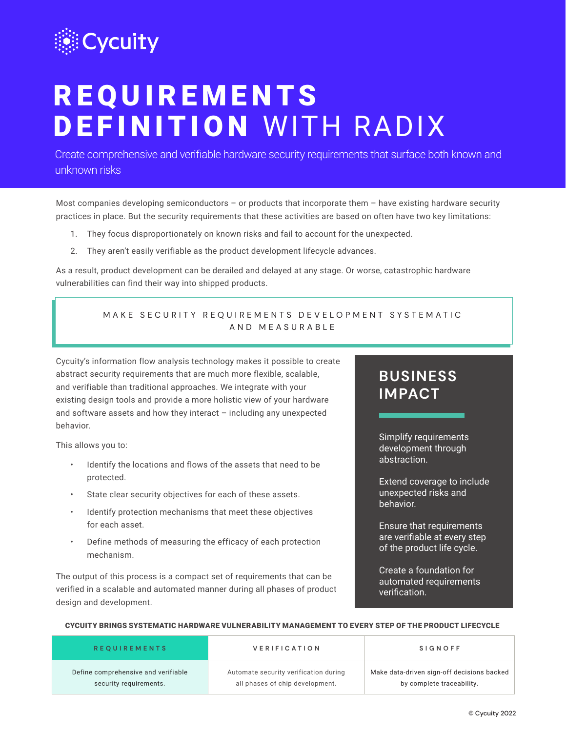

# **REQUIREMENTS** DEFINITION WITH RADIX

Create comprehensive and verifiable hardware security requirements that surface both known and unknown risks

Most companies developing semiconductors – or products that incorporate them – have existing hardware security practices in place. But the security requirements that these activities are based on often have two key limitations:

- 1. They focus disproportionately on known risks and fail to account for the unexpected.
- 2. They aren't easily verifiable as the product development lifecycle advances.

As a result, product development can be derailed and delayed at any stage. Or worse, catastrophic hardware vulnerabilities can find their way into shipped products.

### MAKE SECURITY REQUIREMENTS DEVELOPMENT SYSTEMATIC AND MEASURABLE

Cycuity's information flow analysis technology makes it possible to create abstract security requirements that are much more flexible, scalable, and verifiable than traditional approaches. We integrate with your existing design tools and provide a more holistic view of your hardware and software assets and how they interact – including any unexpected behavior.

This allows you to:

- Identify the locations and flows of the assets that need to be protected.
- State clear security objectives for each of these assets.
- Identify protection mechanisms that meet these objectives for each asset.
- Define methods of measuring the efficacy of each protection mechanism.

The output of this process is a compact set of requirements that can be verified in a scalable and automated manner during all phases of product design and development.

## **BUSINESS IMPACT**

Simplify requirements development through abstraction.

Extend coverage to include unexpected risks and behavior.

Ensure that requirements are verifiable at every step of the product life cycle.

Create a foundation for automated requirements verification.

### CYCUITY BRINGS SYSTEMATIC HARDWARE VULNERABILITY MANAGEMENT TO EVERY STEP OF THE PRODUCT LIFECYCLE

| <b>REQUIREMENTS</b>                 | <b>VERIFICATION</b>                   | <b>SIGNOFF</b>                             |
|-------------------------------------|---------------------------------------|--------------------------------------------|
| Define comprehensive and verifiable | Automate security verification during | Make data-driven sign-off decisions backed |
| security requirements.              | all phases of chip development.       | by complete traceability.                  |